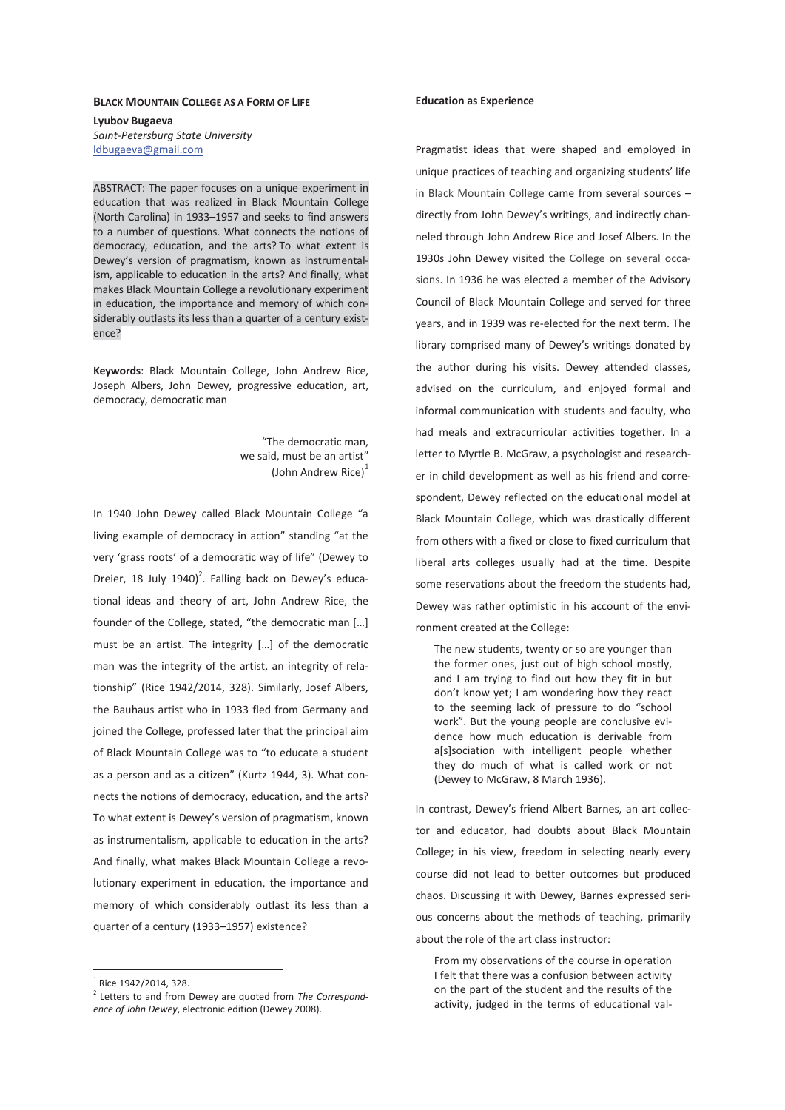#### **BLACK MOUNTAIN COLLEGE AS A FORM OF LIFE**

**Lyubov Bugaeva**  *Saint-Petersburg State University*  ldbugaeva@gmail.com

ABSTRACT: The paper focuses on a unique experiment in education that was realized in Black Mountain College (North Carolina) in 1933–1957 and seeks to find answers to a number of questions. What connects the notions of democracy, education, and the arts? To what extent is Dewey's version of pragmatism, known as instrumentalism, applicable to education in the arts? And finally, what makes Black Mountain College a revolutionary experiment in education, the importance and memory of which considerably outlasts its less than a quarter of a century existence?

**Keywords**: Black Mountain College, John Andrew Rice, Joseph Albers, John Dewey, progressive education, art, democracy, democratic man

> "The democratic man, we said, must be an artist" (John Andrew Rice)<sup>1</sup>

In 1940 John Dewey called Black Mountain College "a living example of democracy in action" standing "at the very 'grass roots' of a democratic way of life" (Dewey to Dreier, 18 July 1940)<sup>2</sup>. Falling back on Dewey's educational ideas and theory of art, John Andrew Rice, the founder of the College, stated, "the democratic man […] must be an artist. The integrity […] of the democratic man was the integrity of the artist, an integrity of relationship" (Rice 1942/2014, 328). Similarly, Josef Albers, the Bauhaus artist who in 1933 fled from Germany and joined the College, professed later that the principal aim of Black Mountain College was to "to educate a student as a person and as a citizen" (Kurtz 1944, 3). What connects the notions of democracy, education, and the arts? To what extent is Dewey's version of pragmatism, known as instrumentalism, applicable to education in the arts? And finally, what makes Black Mountain College a revolutionary experiment in education, the importance and memory of which considerably outlast its less than a quarter of a century (1933–1957) existence?

 $\overline{a}$ 

## **Education as Experience**

Pragmatist ideas that were shaped and employed in unique practices of teaching and organizing students' life in Black Mountain College came from several sources – directly from John Dewey's writings, and indirectly channeled through John Andrew Rice and Josef Albers. In the 1930s John Dewey visited the College on several occasions. In 1936 he was elected a member of the Advisory Council of Black Mountain College and served for three years, and in 1939 was re-elected for the next term. The library comprised many of Dewey's writings donated by the author during his visits. Dewey attended classes, advised on the curriculum, and enjoyed formal and informal communication with students and faculty, who had meals and extracurricular activities together. In a letter to Myrtle B. McGraw, a psychologist and researcher in child development as well as his friend and correspondent, Dewey reflected on the educational model at Black Mountain College, which was drastically different from others with a fixed or close to fixed curriculum that liberal arts colleges usually had at the time. Despite some reservations about the freedom the students had, Dewey was rather optimistic in his account of the environment created at the College:

The new students, twenty or so are younger than the former ones, just out of high school mostly, and I am trying to find out how they fit in but don't know yet; I am wondering how they react to the seeming lack of pressure to do "school work". But the young people are conclusive evidence how much education is derivable from a[s]sociation with intelligent people whether they do much of what is called work or not (Dewey to McGraw, 8 March 1936).

In contrast, Dewey's friend Albert Barnes, an art collector and educator, had doubts about Black Mountain College; in his view, freedom in selecting nearly every course did not lead to better outcomes but produced chaos. Discussing it with Dewey, Barnes expressed serious concerns about the methods of teaching, primarily about the role of the art class instructor:

From my observations of the course in operation I felt that there was a confusion between activity on the part of the student and the results of the activity, judged in the terms of educational val-

<sup>&</sup>lt;sup>1</sup> Rice 1942/2014, 328.

<sup>2</sup> Letters to and from Dewey are quoted from *The Correspondence of John Dewey*, electronic edition (Dewey 2008).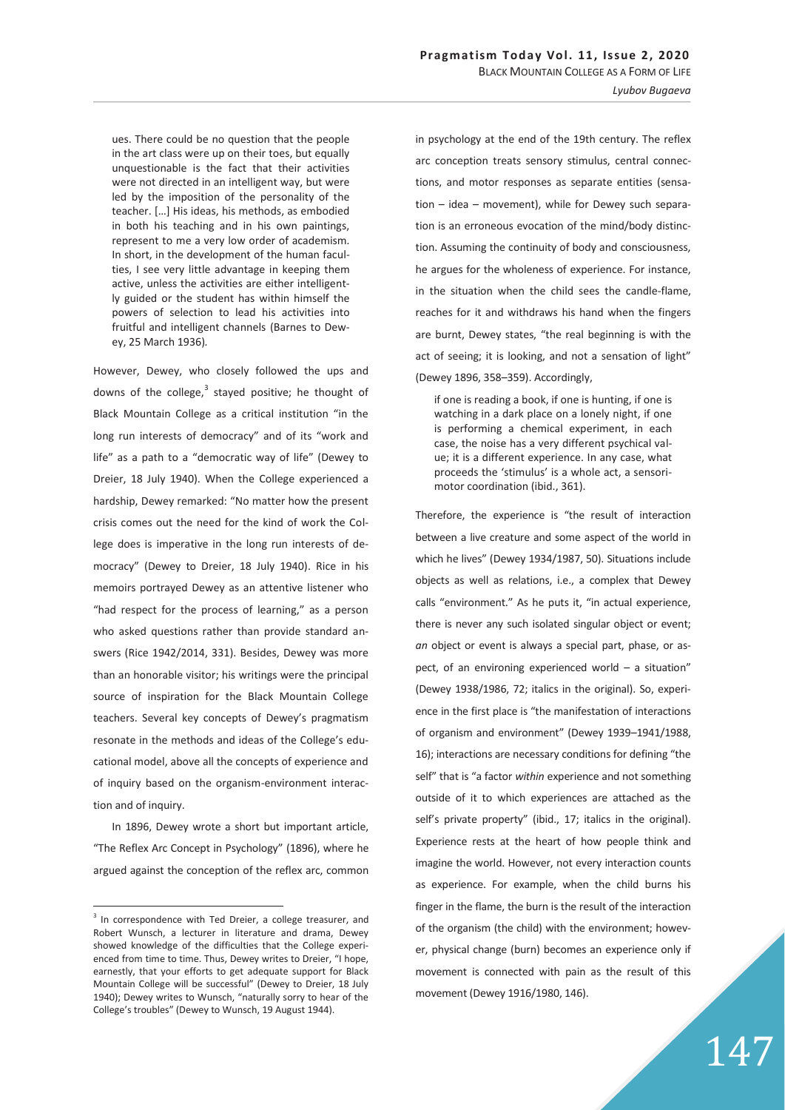ues. There could be no question that the people in the art class were up on their toes, but equally unquestionable is the fact that their activities were not directed in an intelligent way, but were led by the imposition of the personality of the teacher. […] His ideas, his methods, as embodied in both his teaching and in his own paintings, represent to me a very low order of academism*.*  In short, in the development of the human faculties, I see very little advantage in keeping them active, unless the activities are either intelligently guided or the student has within himself the powers of selection to lead his activities into fruitful and intelligent channels (Barnes to Dewey, 25 March 1936)*.* 

However, Dewey, who closely followed the ups and downs of the college,<sup>3</sup> stayed positive; he thought of Black Mountain College as a critical institution "in the long run interests of democracy" and of its "work and life" as a path to a "democratic way of life" (Dewey to Dreier, 18 July 1940). When the College experienced a hardship, Dewey remarked: "No matter how the present crisis comes out the need for the kind of work the College does is imperative in the long run interests of democracy" (Dewey to Dreier, 18 July 1940). Rice in his memoirs portrayed Dewey as an attentive listener who "had respect for the process of learning," as a person who asked questions rather than provide standard answers (Rice 1942/2014, 331). Besides, Dewey was more than an honorable visitor; his writings were the principal source of inspiration for the Black Mountain College teachers. Several key concepts of Dewey's pragmatism resonate in the methods and ideas of the College's educational model, above all the concepts of experience and of inquiry based on the organism-environment interaction and of inquiry.

In 1896, Dewey wrote a short but important article, "The Reflex Arc Concept in Psychology" (1896), where he argued against the conception of the reflex arc, common

 $\overline{a}$ 

in psychology at the end of the 19th century. The reflex arc conception treats sensory stimulus, central connections, and motor responses as separate entities (sensation – idea – movement), while for Dewey such separation is an erroneous evocation of the mind/body distinction. Assuming the continuity of body and consciousness, he argues for the wholeness of experience. For instance, in the situation when the child sees the candle-flame, reaches for it and withdraws his hand when the fingers are burnt, Dewey states, "the real beginning is with the act of seeing; it is looking, and not a sensation of light" (Dewey 1896, 358–359). Accordingly,

if one is reading a book, if one is hunting, if one is watching in a dark place on a lonely night, if one is performing a chemical experiment, in each case, the noise has a very different psychical value; it is a different experience. In any case, what proceeds the 'stimulus' is a whole act, a sensorimotor coordination (ibid., 361).

Therefore, the experience is "the result of interaction between a live creature and some aspect of the world in which he lives" (Dewey 1934/1987, 50). Situations include objects as well as relations, i.e., a complex that Dewey calls "environment." As he puts it, "in actual experience, there is never any such isolated singular object or event; *an* object or event is always a special part, phase, or aspect, of an environing experienced world – a situation" (Dewey 1938/1986, 72; italics in the original). So, experience in the first place is "the manifestation of interactions of organism and environment" (Dewey 1939–1941/1988, 16); interactions are necessary conditions for defining "the self" that is "a factor *within* experience and not something outside of it to which experiences are attached as the self's private property" (ibid., 17; italics in the original). Experience rests at the heart of how people think and imagine the world. However, not every interaction counts as experience. For example, when the child burns his finger in the flame, the burn is the result of the interaction of the organism (the child) with the environment; however, physical change (burn) becomes an experience only if movement is connected with pain as the result of this movement (Dewey 1916/1980, 146).

<sup>&</sup>lt;sup>3</sup> In correspondence with Ted Dreier, a college treasurer, and Robert Wunsch, a lecturer in literature and drama, Dewey showed knowledge of the difficulties that the College experienced from time to time. Thus, Dewey writes to Dreier, "I hope, earnestly, that your efforts to get adequate support for Black Mountain College will be successful" (Dewey to Dreier, 18 July 1940); Dewey writes to Wunsch, "naturally sorry to hear of the College's troubles" (Dewey to Wunsch, 19 August 1944).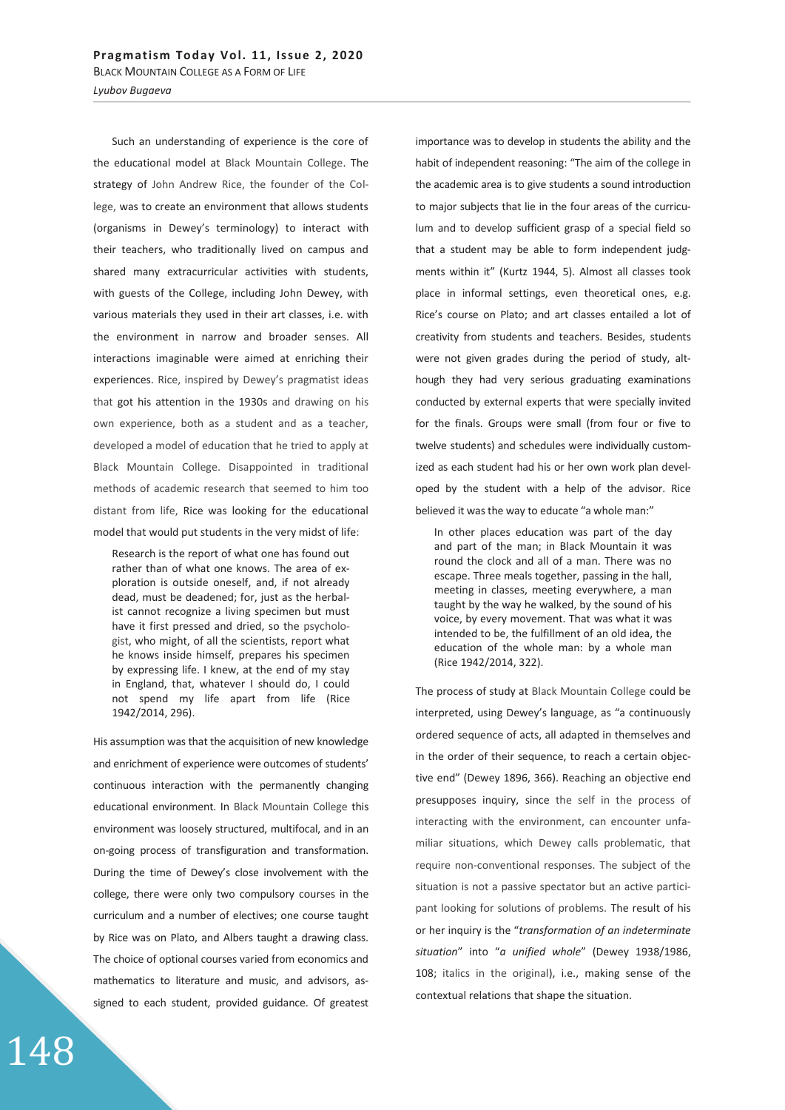Such an understanding of experience is the core of the educational model at Black Mountain College. The strategy of John Andrew Rice, the founder of the College, was to create an environment that allows students (organisms in Dewey's terminology) to interact with their teachers, who traditionally lived on campus and shared many extracurricular activities with students, with guests of the College, including John Dewey, with various materials they used in their art classes, i.e. with the environment in narrow and broader senses. All interactions imaginable were aimed at enriching their experiences. Rice, inspired by Dewey's pragmatist ideas that got his attention in the 1930s and drawing on his own experience, both as a student and as a teacher, developed a model of education that he tried to apply at Black Mountain College. Disappointed in traditional methods of academic research that seemed to him too distant from life, Rice was looking for the educational model that would put students in the very midst of life:

Research is the report of what one has found out rather than of what one knows. The area of exploration is outside oneself, and, if not already dead, must be deadened; for, just as the herbalist cannot recognize a living specimen but must have it first pressed and dried, so the psychologist, who might, of all the scientists, report what he knows inside himself, prepares his specimen by expressing life. I knew, at the end of my stay in England, that, whatever I should do, I could not spend my life apart from life (Rice 1942/2014, 296).

His assumption was that the acquisition of new knowledge and enrichment of experience were outcomes of students' continuous interaction with the permanently changing educational environment. In Black Mountain College this environment was loosely structured, multifocal, and in an on-going process of transfiguration and transformation. During the time of Dewey's close involvement with the college, there were only two compulsory courses in the curriculum and a number of electives; one course taught by Rice was on Plato, and Albers taught a drawing class. The choice of optional courses varied from economics and mathematics to literature and music, and advisors, assigned to each student, provided guidance. Of greatest importance was to develop in students the ability and the habit of independent reasoning: "The aim of the college in the academic area is to give students a sound introduction to major subjects that lie in the four areas of the curriculum and to develop sufficient grasp of a special field so that a student may be able to form independent judgments within it" (Kurtz 1944, 5). Almost all classes took place in informal settings, even theoretical ones, e.g. Rice's course on Plato; and art classes entailed a lot of creativity from students and teachers. Besides, students were not given grades during the period of study, although they had very serious graduating examinations conducted by external experts that were specially invited for the finals. Groups were small (from four or five to twelve students) and schedules were individually customized as each student had his or her own work plan developed by the student with a help of the advisor. Rice believed it was the way to educate "a whole man:"

In other places education was part of the day and part of the man; in Black Mountain it was round the clock and all of a man. There was no escape. Three meals together, passing in the hall, meeting in classes, meeting everywhere, a man taught by the way he walked, by the sound of his voice, by every movement. That was what it was intended to be, the fulfillment of an old idea, the education of the whole man: by a whole man (Rice 1942/2014, 322).

The process of study at Black Mountain College could be interpreted, using Dewey's language, as "a continuously ordered sequence of acts, all adapted in themselves and in the order of their sequence, to reach a certain objective end" (Dewey 1896, 366). Reaching an objective end presupposes inquiry, since the self in the process of interacting with the environment, can encounter unfamiliar situations, which Dewey calls problematic, that require non-conventional responses. The subject of the situation is not a passive spectator but an active participant looking for solutions of problems. The result of his or her inquiry is the "*transformation of an indeterminate situation*" into "*a unified whole*" (Dewey 1938/1986, 108; italics in the original), i.e., making sense of the contextual relations that shape the situation.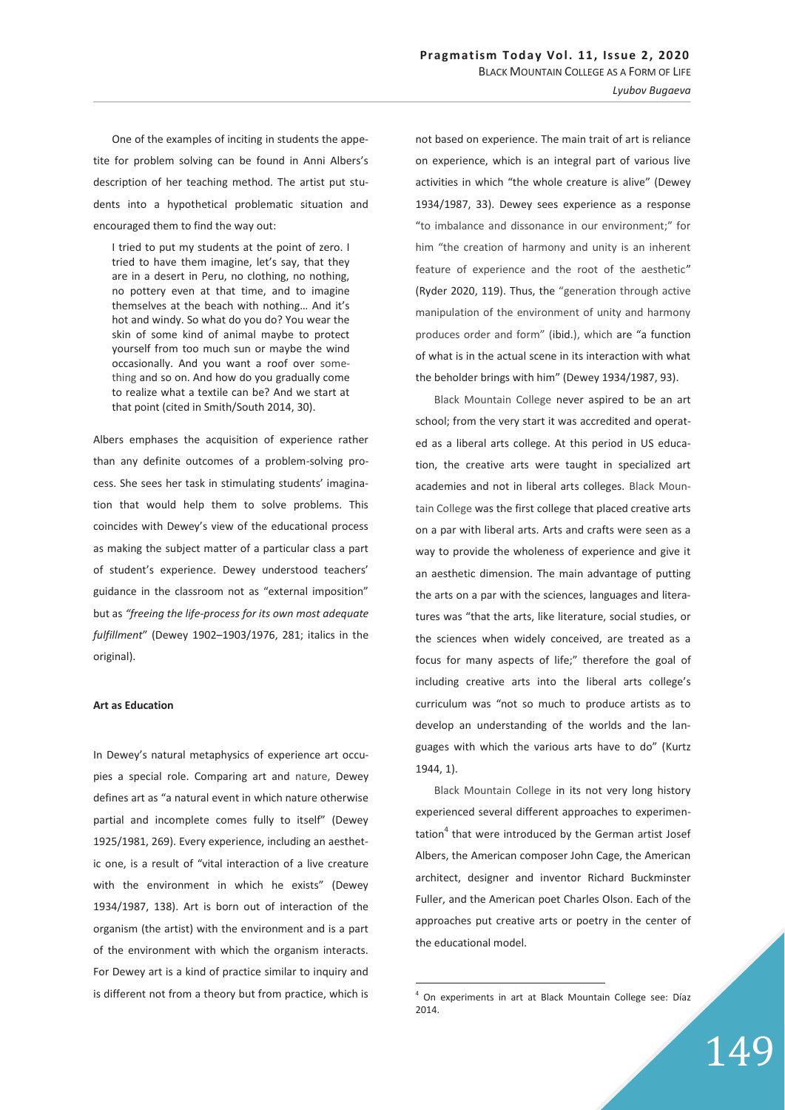One of the examples of inciting in students the appetite for problem solving can be found in Anni Albers's description of her teaching method. The artist put students into a hypothetical problematic situation and encouraged them to find the way out:

I tried to put my students at the point of zero. I tried to have them imagine, let's say, that they are in a desert in Peru, no clothing, no nothing, no pottery even at that time, and to imagine themselves at the beach with nothing… And it's hot and windy. So what do you do? You wear the skin of some kind of animal maybe to protect yourself from too much sun or maybe the wind occasionally. And you want a roof over something and so on. And how do you gradually come to realize what a textile can be? And we start at that point (cited in Smith/South 2014, 30).

Albers emphases the acquisition of experience rather than any definite outcomes of a problem-solving process. She sees her task in stimulating students' imagination that would help them to solve problems. This coincides with Dewey's view of the educational process as making the subject matter of a particular class a part of student's experience. Dewey understood teachers' guidance in the classroom not as "external imposition" but as *"freeing the life-process for its own most adequate fulfillment*" (Dewey 1902–1903/1976, 281; italics in the original).

## **Art as Education**

In Dewey's natural metaphysics of experience art occupies a special role. Comparing art and nature, Dewey defines art as "a natural event in which nature otherwise partial and incomplete comes fully to itself" (Dewey 1925/1981, 269). Every experience, including an aesthetic one, is a result of "vital interaction of a live creature with the environment in which he exists" (Dewey 1934/1987, 138). Art is born out of interaction of the organism (the artist) with the environment and is a part of the environment with which the organism interacts. For Dewey art is a kind of practice similar to inquiry and is different not from a theory but from practice, which is

not based on experience. The main trait of art is reliance on experience, which is an integral part of various live activities in which "the whole creature is alive" (Dewey 1934/1987, 33). Dewey sees experience as a response "to imbalance and dissonance in our environment;" for him "the creation of harmony and unity is an inherent feature of experience and the root of the aesthetic" (Ryder 2020, 119). Thus, the "generation through active manipulation of the environment of unity and harmony produces order and form" (ibid.), which are "a function of what is in the actual scene in its interaction with what the beholder brings with him" (Dewey 1934/1987, 93).

Black Mountain College never aspired to be an art school; from the very start it was accredited and operated as a liberal arts college. At this period in US education, the creative arts were taught in specialized art academies and not in liberal arts colleges. Black Mountain College was the first college that placed creative arts on a par with liberal arts. Arts and crafts were seen as a way to provide the wholeness of experience and give it an aesthetic dimension. The main advantage of putting the arts on a par with the sciences, languages and literatures was "that the arts, like literature, social studies, or the sciences when widely conceived, are treated as a focus for many aspects of life;" therefore the goal of including creative arts into the liberal arts college's curriculum was "not so much to produce artists as to develop an understanding of the worlds and the languages with which the various arts have to do" (Kurtz 1944, 1).

Black Mountain College in its not very long history experienced several different approaches to experimentation<sup>4</sup> that were introduced by the German artist Josef Albers, the American composer John Cage, the American architect, designer and inventor Richard Buckminster Fuller, and the American poet Charles Olson. Each of the approaches put creative arts or poetry in the center of the educational model.

 $\overline{a}$ 

<sup>4</sup> On experiments in art at Black Mountain College see: Díaz 2014.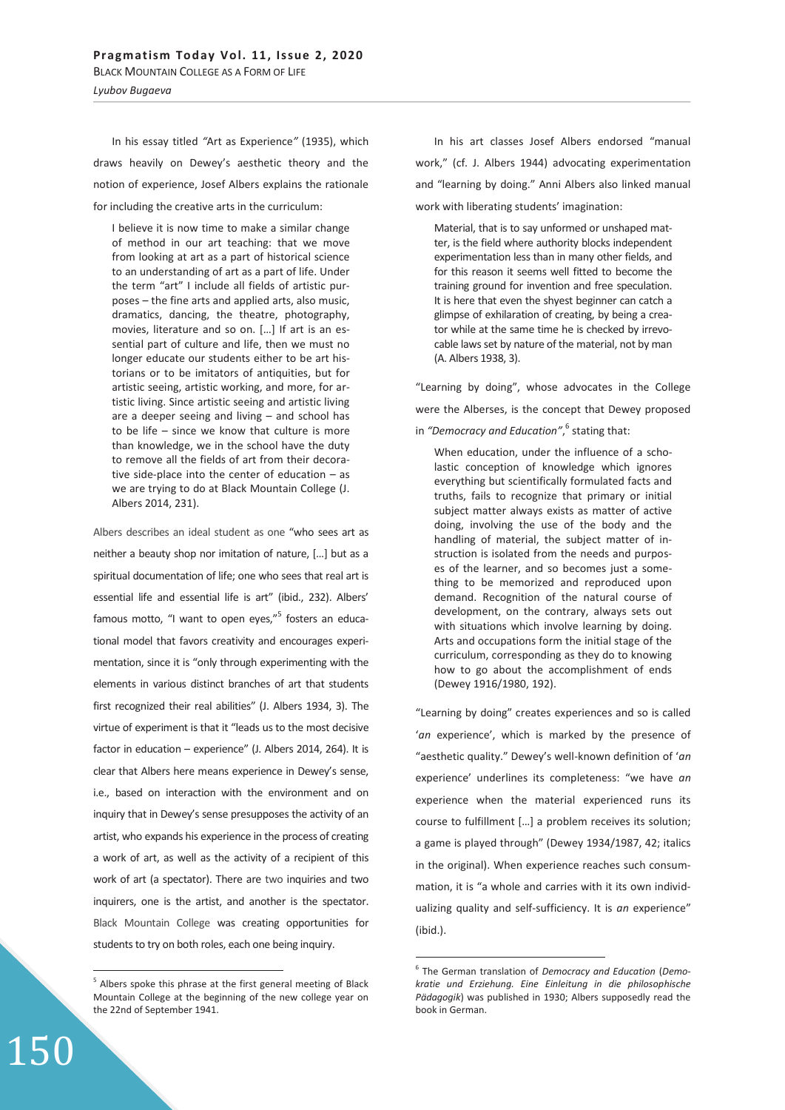In his essay titled *"*Art as Experience*"* (1935), which draws heavily on Dewey's aesthetic theory and the notion of experience, Josef Albers explains the rationale for including the creative arts in the curriculum:

I believe it is now time to make a similar change of method in our art teaching: that we move from looking at art as a part of historical science to an understanding of art as a part of life. Under the term "art" I include all fields of artistic purposes – the fine arts and applied arts, also music, dramatics, dancing, the theatre, photography, movies, literature and so on. […] If art is an essential part of culture and life, then we must no longer educate our students either to be art historians or to be imitators of antiquities, but for artistic seeing, artistic working, and more, for artistic living. Since artistic seeing and artistic living are a deeper seeing and living – and school has to be life – since we know that culture is more than knowledge, we in the school have the duty to remove all the fields of art from their decorative side-place into the center of education – as we are trying to do at Black Mountain College (J. Albers 2014, 231).

Albers describes an ideal student as one "who sees art as neither a beauty shop nor imitation of nature, […] but as a spiritual documentation of life; one who sees that real art is essential life and essential life is art" (ibid., 232). Albers' famous motto, "I want to open eyes,"<sup>5</sup> fosters an educational model that favors creativity and encourages experimentation, since it is "only through experimenting with the elements in various distinct branches of art that students first recognized their real abilities" (J. Albers 1934, 3). The virtue of experiment is that it "leads us to the most decisive factor in education – experience" (J. Albers 2014, 264). It is clear that Albers here means experience in Dewey's sense, i.e., based on interaction with the environment and on inquiry that in Dewey's sense presupposes the activity of an artist, who expands his experience in the process of creating a work of art, as well as the activity of a recipient of this work of art (a spectator). There are two inquiries and two inquirers, one is the artist, and another is the spectator. Black Mountain College was creating opportunities for students to try on both roles, each one being inquiry.

150

 $\overline{a}$ 

In his art classes Josef Albers endorsed "manual work," (cf. J. Albers 1944) advocating experimentation and "learning by doing." Anni Albers also linked manual work with liberating students' imagination:

Material, that is to say unformed or unshaped matter, is the field where authority blocks independent experimentation less than in many other fields, and for this reason it seems well fitted to become the training ground for invention and free speculation. It is here that even the shyest beginner can catch a glimpse of exhilaration of creating, by being a creator while at the same time he is checked by irrevocable laws set by nature of the material, not by man (A. Albers 1938, 3).

"Learning by doing", whose advocates in the College were the Alberses, is the concept that Dewey proposed in "Democracy and Education",<sup>6</sup> stating that:

When education, under the influence of a scholastic conception of knowledge which ignores everything but scientifically formulated facts and truths, fails to recognize that primary or initial subject matter always exists as matter of active doing, involving the use of the body and the handling of material, the subject matter of instruction is isolated from the needs and purposes of the learner, and so becomes just a something to be memorized and reproduced upon demand. Recognition of the natural course of development, on the contrary, always sets out with situations which involve learning by doing. Arts and occupations form the initial stage of the curriculum, corresponding as they do to knowing how to go about the accomplishment of ends (Dewey 1916/1980, 192).

"Learning by doing" creates experiences and so is called '*an* experience', which is marked by the presence of "aesthetic quality." Dewey's well-known definition of '*an* experience' underlines its completeness: "we have *an*  experience when the material experienced runs its course to fulfillment […] a problem receives its solution; a game is played through" (Dewey 1934/1987, 42; italics in the original). When experience reaches such consummation, it is "a whole and carries with it its own individualizing quality and self-sufficiency. It is *an* experience" (ibid.).

-

<sup>&</sup>lt;sup>5</sup> Albers spoke this phrase at the first general meeting of Black Mountain College at the beginning of the new college year on the 22nd of September 1941.

<sup>6</sup> The German translation of *Democracy and Education* (*Demokratie und Erziehung. Eine Einleitung in die philosophische Pädagogik*) was published in 1930; Albers supposedly read the book in German.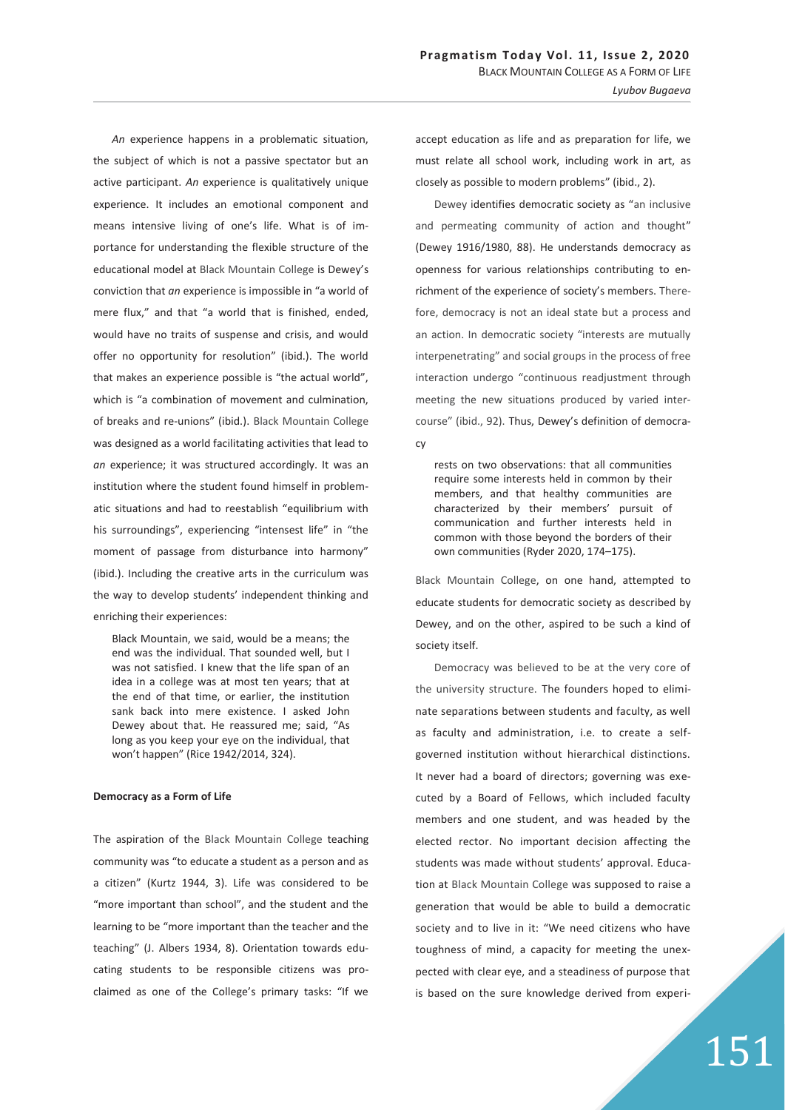*An* experience happens in a problematic situation, the subject of which is not a passive spectator but an active participant. *An* experience is qualitatively unique experience. It includes an emotional component and means intensive living of one's life. What is of importance for understanding the flexible structure of the educational model at Black Mountain College is Dewey's conviction that *an* experience is impossible in "a world of mere flux," and that "a world that is finished, ended, would have no traits of suspense and crisis, and would offer no opportunity for resolution" (ibid.). The world that makes an experience possible is "the actual world", which is "a combination of movement and culmination, of breaks and re-unions" (ibid.). Black Mountain College was designed as a world facilitating activities that lead to *an* experience; it was structured accordingly. It was an institution where the student found himself in problematic situations and had to reestablish "equilibrium with his surroundings", experiencing "intensest life" in "the moment of passage from disturbance into harmony" (ibid.). Including the creative arts in the curriculum was the way to develop students' independent thinking and enriching their experiences:

Black Mountain, we said, would be a means; the end was the individual. That sounded well, but I was not satisfied. I knew that the life span of an idea in a college was at most ten years; that at the end of that time, or earlier, the institution sank back into mere existence. I asked John Dewey about that. He reassured me; said, "As long as you keep your eye on the individual, that won't happen" (Rice 1942/2014, 324).

#### **Democracy as a Form of Life**

The aspiration of the Black Mountain College teaching community was "to educate a student as a person and as a citizen" (Kurtz 1944, 3). Life was considered to be "more important than school", and the student and the learning to be "more important than the teacher and the teaching" (J. Albers 1934, 8). Orientation towards educating students to be responsible citizens was proclaimed as one of the College's primary tasks: "If we

accept education as life and as preparation for life, we must relate all school work, including work in art, as closely as possible to modern problems" (ibid., 2).

Dewey identifies democratic society as "an inclusive and permeating community of action and thought" (Dewey 1916/1980, 88). He understands democracy as openness for various relationships contributing to enrichment of the experience of society's members. Therefore, democracy is not an ideal state but a process and an action. In democratic society "interests are mutually interpenetrating" and social groups in the process of free interaction undergo "continuous readjustment through meeting the new situations produced by varied intercourse" (ibid., 92). Thus, Dewey's definition of democracy

rests on two observations: that all communities require some interests held in common by their members, and that healthy communities are characterized by their members' pursuit of communication and further interests held in common with those beyond the borders of their own communities (Ryder 2020, 174–175).

Black Mountain College, on one hand, attempted to educate students for democratic society as described by Dewey, and on the other, aspired to be such a kind of society itself.

Democracy was believed to be at the very core of the university structure. The founders hoped to eliminate separations between students and faculty, as well as faculty and administration, i.e. to create a selfgoverned institution without hierarchical distinctions. It never had a board of directors; governing was executed by a Board of Fellows, which included faculty members and one student, and was headed by the elected rector. No important decision affecting the students was made without students' approval. Education at Black Mountain College was supposed to raise a generation that would be able to build a democratic society and to live in it: "We need citizens who have toughness of mind, a capacity for meeting the unexpected with clear eye, and a steadiness of purpose that is based on the sure knowledge derived from experi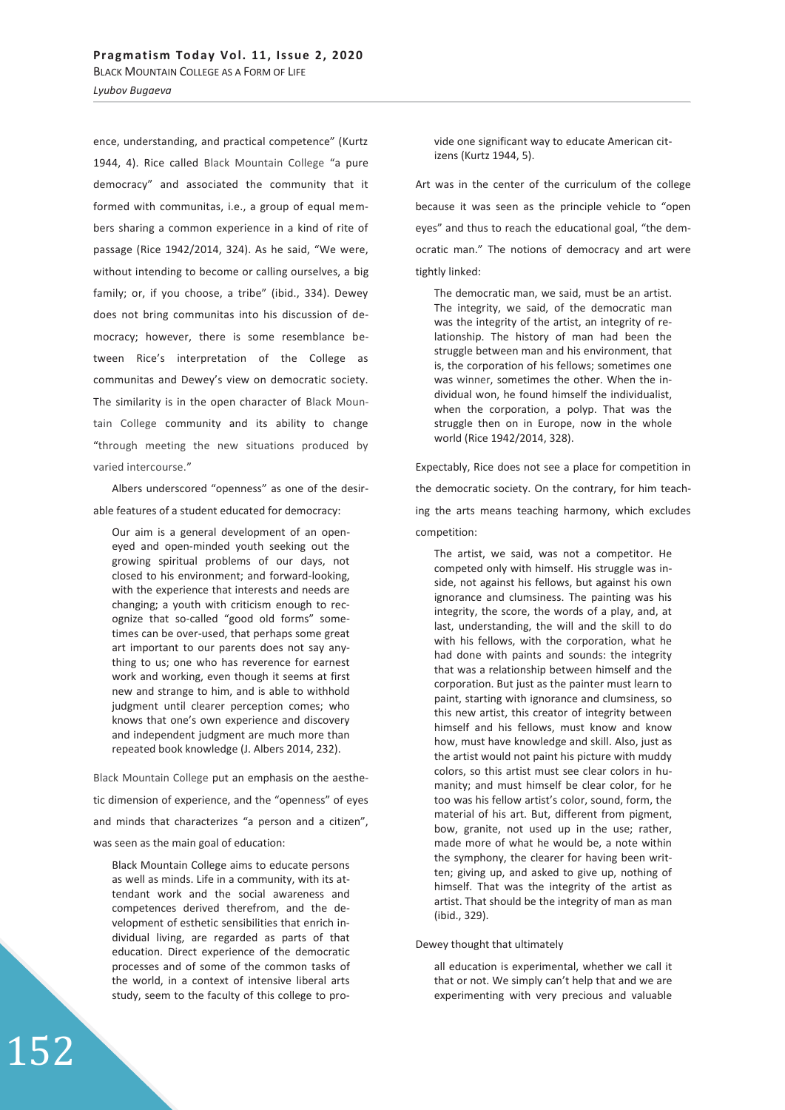ence, understanding, and practical competence" (Kurtz 1944, 4). Rice called Black Mountain College "a pure democracy" and associated the community that it formed with communitas, i.e., a group of equal members sharing a common experience in a kind of rite of passage (Rice 1942/2014, 324). As he said, "We were, without intending to become or calling ourselves, a big family; or, if you choose, a tribe" (ibid., 334). Dewey does not bring communitas into his discussion of democracy; however, there is some resemblance between Rice's interpretation of the College as communitas and Dewey's view on democratic society. The similarity is in the open character of Black Mountain College community and its ability to change "through meeting the new situations produced by varied intercourse."

Albers underscored "openness" as one of the desirable features of a student educated for democracy:

Our aim is a general development of an openeyed and open-minded youth seeking out the growing spiritual problems of our days, not closed to his environment; and forward-looking, with the experience that interests and needs are changing; a youth with criticism enough to recognize that so-called "good old forms" sometimes can be over-used, that perhaps some great art important to our parents does not say anything to us; one who has reverence for earnest work and working, even though it seems at first new and strange to him, and is able to withhold judgment until clearer perception comes; who knows that one's own experience and discovery and independent judgment are much more than repeated book knowledge (J. Albers 2014, 232).

Black Mountain College put an emphasis on the aesthetic dimension of experience, and the "openness" of eyes and minds that characterizes "a person and a citizen", was seen as the main goal of education:

Black Mountain College aims to educate persons as well as minds. Life in a community, with its attendant work and the social awareness and competences derived therefrom, and the development of esthetic sensibilities that enrich individual living, are regarded as parts of that education. Direct experience of the democratic processes and of some of the common tasks of the world, in a context of intensive liberal arts study, seem to the faculty of this college to provide one significant way to educate American citizens (Kurtz 1944, 5).

Art was in the center of the curriculum of the college because it was seen as the principle vehicle to "open eyes" and thus to reach the educational goal, "the democratic man." The notions of democracy and art were tightly linked:

The democratic man, we said, must be an artist. The integrity, we said, of the democratic man was the integrity of the artist, an integrity of relationship. The history of man had been the struggle between man and his environment, that is, the corporation of his fellows; sometimes one was winner, sometimes the other. When the individual won, he found himself the individualist, when the corporation, a polyp. That was the struggle then on in Europe, now in the whole world (Rice 1942/2014, 328).

Expectably, Rice does not see a place for competition in the democratic society. On the contrary, for him teaching the arts means teaching harmony, which excludes competition:

The artist, we said, was not a competitor. He competed only with himself. His struggle was inside, not against his fellows, but against his own ignorance and clumsiness. The painting was his integrity, the score, the words of a play, and, at last, understanding, the will and the skill to do with his fellows, with the corporation, what he had done with paints and sounds: the integrity that was a relationship between himself and the corporation. But just as the painter must learn to paint, starting with ignorance and clumsiness, so this new artist, this creator of integrity between himself and his fellows, must know and know how, must have knowledge and skill. Also, just as the artist would not paint his picture with muddy colors, so this artist must see clear colors in humanity; and must himself be clear color, for he too was his fellow artist's color, sound, form, the material of his art. But, different from pigment, bow, granite, not used up in the use; rather, made more of what he would be, a note within the symphony, the clearer for having been written; giving up, and asked to give up, nothing of himself. That was the integrity of the artist as artist. That should be the integrity of man as man (ibid., 329).

# Dewey thought that ultimately

all education is experimental, whether we call it that or not. We simply can't help that and we are experimenting with very precious and valuable

152